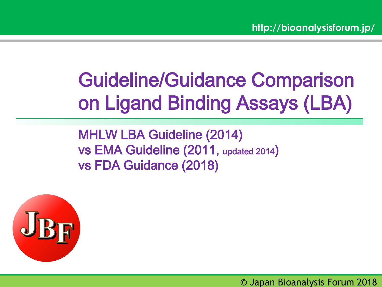# Guideline/Guidance Comparison on Ligand Binding Assays (LBA)

MHLW LBA Guideline (2014) vs EMA Guideline (2011, updated 2014) vs FDA Guidance (2018)



© Japan Bioanalysis Forum 2018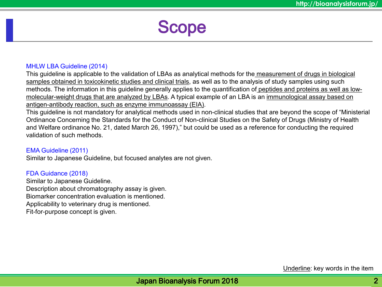Scope

#### MHLW LBA Guideline (2014)

This guideline is applicable to the validation of LBAs as analytical methods for the measurement of drugs in biological samples obtained in toxicokinetic studies and clinical trials, as well as to the analysis of study samples using such methods. The information in this guideline generally applies to the quantification of peptides and proteins as well as lowmolecular-weight drugs that are analyzed by LBAs. A typical example of an LBA is an immunological assay based on antigen-antibody reaction, such as enzyme immunoassay (EIA).

This guideline is not mandatory for analytical methods used in non-clinical studies that are beyond the scope of "Ministerial Ordinance Concerning the Standards for the Conduct of Non-clinical Studies on the Safety of Drugs (Ministry of Health and Welfare ordinance No. 21, dated March 26, 1997)," but could be used as a reference for conducting the required validation of such methods.

#### EMA Guideline (2011)

Similar to Japanese Guideline, but focused analytes are not given.

#### FDA Guidance (2018)

Similar to Japanese Guideline. Description about chromatography assay is given. Biomarker concentration evaluation is mentioned. Applicability to veterinary drug is mentioned. Fit-for-purpose concept is given.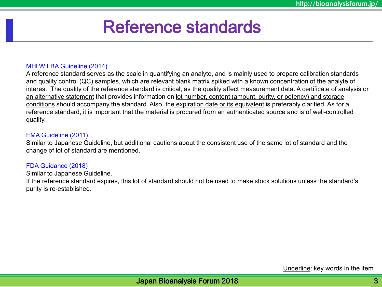# Reference standards

### MHLW LBA Guideline (2014)

A reference standard serves as the scale in quantifying an analyte, and is mainly used to prepare calibration standards and quality control (QC) samples, which are relevant blank matrix spiked with a known concentration of the analyte of interest. The quality of the reference standard is critical, as the quality affect measurement data. A certificate of analysis or an alternative statement that provides information on lot number, content (amount, purity, or potency) and storage conditions should accompany the standard. Also, the expiration date or its equivalent is preferably clarified. As for a reference standard, it is important that the material is procured from an authenticated source and is of well-controlled quality.

#### EMA Guideline (2011)

Similar to Japanese Guideline, but additional cautions about the consistent use of the same lot of standard and the change of lot of standard are mentioned.

### FDA Guidance (2018)

Similar to Japanese Guideline.

If the reference standard expires, this lot of standard should not be used to make stock solutions unless the standard's purity is re-established.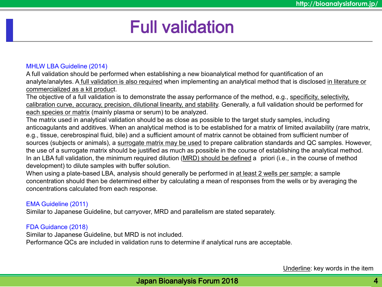# Full validation

### MHLW LBA Guideline (2014)

A full validation should be performed when establishing a new bioanalytical method for quantification of an analyte/analytes. A full validation is also required when implementing an analytical method that is disclosed in literature or commercialized as a kit product.

The objective of a full validation is to demonstrate the assay performance of the method, e.g., specificity, selectivity, calibration curve, accuracy, precision, dilutional linearity, and stability. Generally, a full validation should be performed for each species or matrix (mainly plasma or serum) to be analyzed.

The matrix used in analytical validation should be as close as possible to the target study samples, including anticoagulants and additives. When an analytical method is to be established for a matrix of limited availability (rare matrix, e.g., tissue, cerebrospinal fluid, bile) and a sufficient amount of matrix cannot be obtained from sufficient number of sources (subjects or animals), a surrogate matrix may be used to prepare calibration standards and QC samples. However, the use of a surrogate matrix should be justified as much as possible in the course of establishing the analytical method. In an LBA full validation, the minimum required dilution (MRD) should be defined a priori (i.e., in the course of method development) to dilute samples with buffer solution.

When using a plate-based LBA, analysis should generally be performed in at least 2 wells per sample; a sample concentration should then be determined either by calculating a mean of responses from the wells or by averaging the concentrations calculated from each response.

### EMA Guideline (2011)

Similar to Japanese Guideline, but carryover, MRD and parallelism are stated separately.

# FDA Guidance (2018)

Similar to Japanese Guideline, but MRD is not included.

Performance QCs are included in validation runs to determine if analytical runs are acceptable.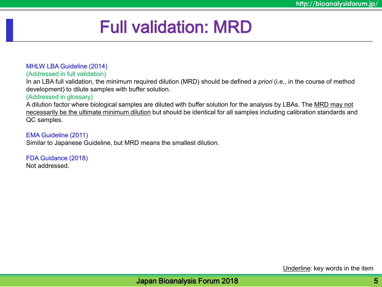# Full validation: MRD

MHLW LBA Guideline (2014)

(Addressed in full validation)

In an LBA full validation, the minimum required dilution (MRD) should be defined *a priori* (i.e., in the course of method development) to dilute samples with buffer solution.

### (Addressed in glossary)

A dilution factor where biological samples are diluted with buffer solution for the analysis by LBAs. The MRD may not necessarily be the ultimate minimum dilution but should be identical for all samples including calibration standards and QC samples.

EMA Guideline (2011) Similar to Japanese Guideline, but MRD means the smallest dilution.

FDA Guidance (2018) Not addressed.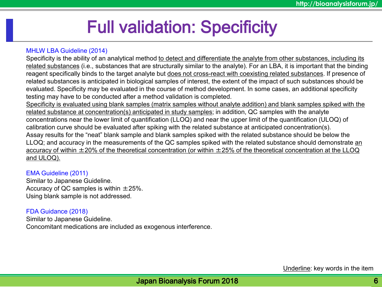# Full validation: Specificity

### MHLW LBA Guideline (2014)

Specificity is the ability of an analytical method to detect and differentiate the analyte from other substances, including its related substances (i.e., substances that are structurally similar to the analyte). For an LBA, it is important that the binding reagent specifically binds to the target analyte but does not cross-react with coexisting related substances. If presence of related substances is anticipated in biological samples of interest, the extent of the impact of such substances should be evaluated. Specificity may be evaluated in the course of method development. In some cases, an additional specificity testing may have to be conducted after a method validation is completed.

Specificity is evaluated using blank samples (matrix samples without analyte addition) and blank samples spiked with the related substance at concentration(s) anticipated in study samples; in addition, QC samples with the analyte concentrations near the lower limit of quantification (LLOQ) and near the upper limit of the quantification (ULOQ) of calibration curve should be evaluated after spiking with the related substance at anticipated concentration(s). Assay results for the "neat" blank sample and blank samples spiked with the related substance should be below the LLOQ; and accuracy in the measurements of the QC samples spiked with the related substance should demonstrate an accuracy of within  $\pm 20\%$  of the theoretical concentration (or within  $\pm 25\%$  of the theoretical concentration at the LLOQ and ULOQ).

#### EMA Guideline (2011)

Similar to Japanese Guideline. Accuracy of QC samples is within  $\pm 25\%$ . Using blank sample is not addressed.

### FDA Guidance (2018)

Similar to Japanese Guideline. Concomitant medications are included as exogenous interference.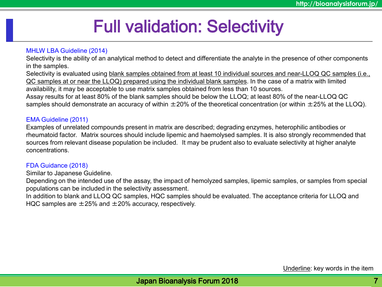# Full validation: Selectivity

### MHLW LBA Guideline (2014)

Selectivity is the ability of an analytical method to detect and differentiate the analyte in the presence of other components in the samples.

Selectivity is evaluated using blank samples obtained from at least 10 individual sources and near-LLOQ QC samples (i.e., QC samples at or near the LLOQ) prepared using the individual blank samples. In the case of a matrix with limited availability, it may be acceptable to use matrix samples obtained from less than 10 sources. Assay results for at least 80% of the blank samples should be below the LLOQ; at least 80% of the near-LLOQ QC samples should demonstrate an accuracy of within  $\pm 20\%$  of the theoretical concentration (or within  $\pm 25\%$  at the LLOQ).

### EMA Guideline (2011)

Examples of unrelated compounds present in matrix are described; degrading enzymes, heterophilic antibodies or rheumatoid factor. Matrix sources should include lipemic and haemolysed samples. It is also strongly recommended that sources from relevant disease population be included. It may be prudent also to evaluate selectivity at higher analyte concentrations.

# FDA Guidance (2018)

Similar to Japanese Guideline.

Depending on the intended use of the assay, the impact of hemolyzed samples, lipemic samples, or samples from special populations can be included in the selectivity assessment.

In addition to blank and LLOQ QC samples, HQC samples should be evaluated. The acceptance criteria for LLOQ and HQC samples are  $\pm 25\%$  and  $\pm 20\%$  accuracy, respectively.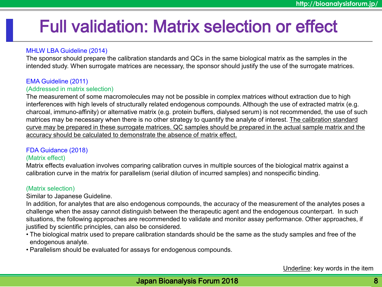# Full validation: Matrix selection or effect

# MHLW LBA Guideline (2014)

The sponsor should prepare the calibration standards and QCs in the same biological matrix as the samples in the intended study. When surrogate matrices are necessary, the sponsor should justify the use of the surrogate matrices.

# EMA Guideline (2011)

### (Addressed in matrix selection)

The measurement of some macromolecules may not be possible in complex matrices without extraction due to high interferences with high levels of structurally related endogenous compounds. Although the use of extracted matrix (e.g. charcoal, immuno-affinity) or alternative matrix (e.g. protein buffers, dialysed serum) is not recommended, the use of such matrices may be necessary when there is no other strategy to quantify the analyte of interest. The calibration standard curve may be prepared in these surrogate matrices. QC samples should be prepared in the actual sample matrix and the accuracy should be calculated to demonstrate the absence of matrix effect.

#### FDA Guidance (2018) (Matrix effect)

Matrix effects evaluation involves comparing calibration curves in multiple sources of the biological matrix against a calibration curve in the matrix for parallelism (serial dilution of incurred samples) and nonspecific binding.

# (Matrix selection)

Similar to Japanese Guideline.

In addition, for analytes that are also endogenous compounds, the accuracy of the measurement of the analytes poses a challenge when the assay cannot distinguish between the therapeutic agent and the endogenous counterpart. In such situations, the following approaches are recommended to validate and monitor assay performance. Other approaches, if justified by scientific principles, can also be considered.

- The biological matrix used to prepare calibration standards should be the same as the study samples and free of the endogenous analyte.
- Parallelism should be evaluated for assays for endogenous compounds.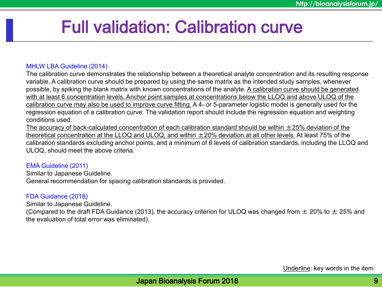# Full validation: Calibration curve

### MHLW LBA Guideline (2014)

The calibration curve demonstrates the relationship between a theoretical analyte concentration and its resulting response variable. A calibration curve should be prepared by using the same matrix as the intended study samples, whenever possible, by spiking the blank matrix with known concentrations of the analyte. A calibration curve should be generated with at least 6 concentration levels. Anchor point samples at concentrations below the LLOQ and above ULOQ of the calibration curve may also be used to improve curve fitting. A 4- or 5-parameter logistic model is generally used for the regression equation of a calibration curve. The validation report should include the regression equation and weighting conditions used.

The accuracy of back-calculated concentration of each calibration standard should be within  $\pm 25$ % deviation of the theoretical concentration at the LLOQ and ULOQ, and within  $\pm 20\%$  deviation at all other levels. At least 75% of the calibration standards excluding anchor points, and a minimum of 6 levels of calibration standards, including the LLOQ and ULOQ, should meet the above criteria.

#### EMA Guideline (2011)

Similar to Japanese Guideline. General recommendation for spacing calibration standards is provided.

# FDA Guidance (2018)

Similar to Japanese Guideline.

(Compared to the draft FDA Guidance (2013), the accuracy criterion for ULOQ was changed from  $\pm$  20% to  $\pm$  25% and the evaluation of total error was eliminated).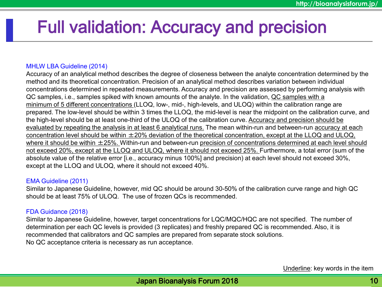# Full validation: Accuracy and precision

### MHLW LBA Guideline (2014)

Accuracy of an analytical method describes the degree of closeness between the analyte concentration determined by the method and its theoretical concentration. Precision of an analytical method describes variation between individual concentrations determined in repeated measurements. Accuracy and precision are assessed by performing analysis with QC samples, i.e., samples spiked with known amounts of the analyte. In the validation, QC samples with a minimum of 5 different concentrations (LLOQ, low-, mid-, high-levels, and ULOQ) within the calibration range are prepared. The low-level should be within 3 times the LLOQ, the mid-level is near the midpoint on the calibration curve, and the high-level should be at least one-third of the ULOQ of the calibration curve. Accuracy and precision should be evaluated by repeating the analysis in at least 6 analytical runs. The mean within-run and between-run accuracy at each concentration level should be within ±20% deviation of the theoretical concentration, except at the LLOQ and ULOQ, where it should be within  $\pm 25$ %. Within-run and between-run precision of concentrations determined at each level should not exceed 20%, except at the LLOQ and ULOQ, where it should not exceed 25%. Furthermore, a total error (sum of the absolute value of the relative error [i.e., accuracy minus 100%] and precision) at each level should not exceed 30%, except at the LLOQ and ULOQ, where it should not exceed 40%.

#### EMA Guideline (2011)

Similar to Japanese Guideline, however, mid QC should be around 30-50% of the calibration curve range and high QC should be at least 75% of ULOQ. The use of frozen QCs is recommended.

### FDA Guidance (2018)

Similar to Japanese Guideline, however, target concentrations for LQC/MQC/HQC are not specified. The number of determination per each QC levels is provided (3 replicates) and freshly prepared QC is recommended. Also, it is recommended that calibrators and QC samples are prepared from separate stock solutions. No QC acceptance criteria is necessary as run acceptance.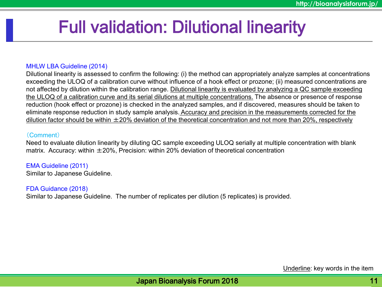# Full validation: Dilutional linearity

### MHLW LBA Guideline (2014)

Dilutional linearity is assessed to confirm the following: (i) the method can appropriately analyze samples at concentrations exceeding the ULOQ of a calibration curve without influence of a hook effect or prozone; (ii) measured concentrations are not affected by dilution within the calibration range. Dilutional linearity is evaluated by analyzing a QC sample exceeding the ULOQ of a calibration curve and its serial dilutions at multiple concentrations. The absence or presence of response reduction (hook effect or prozone) is checked in the analyzed samples, and if discovered, measures should be taken to eliminate response reduction in study sample analysis. Accuracy and precision in the measurements corrected for the dilution factor should be within  $\pm 20\%$  deviation of the theoretical concentration and not more than 20%, respectively

### (Comment)

Need to evaluate dilution linearity by diluting QC sample exceeding ULOQ serially at multiple concentration with blank matrix. Accuracy: within  $\pm 20\%$ . Precision: within 20% deviation of theoretical concentration

EMA Guideline (2011) Similar to Japanese Guideline.

FDA Guidance (2018)

Similar to Japanese Guideline. The number of replicates per dilution (5 replicates) is provided.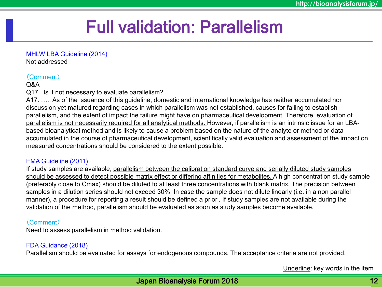# Full validation: Parallelism

#### MHLW LBA Guideline (2014)

Not addressed

# (Comment)

# Q&A

Q17. Is it not necessary to evaluate parallelism?

A17. ….. As of the issuance of this guideline, domestic and international knowledge has neither accumulated nor discussion yet matured regarding cases in which parallelism was not established, causes for failing to establish parallelism, and the extent of impact the failure might have on pharmaceutical development. Therefore, evaluation of parallelism is not necessarily required for all analytical methods. However, if parallelism is an intrinsic issue for an LBAbased bioanalytical method and is likely to cause a problem based on the nature of the analyte or method or data accumulated in the course of pharmaceutical development, scientifically valid evaluation and assessment of the impact on measured concentrations should be considered to the extent possible.

# EMA Guideline (2011)

If study samples are available, parallelism between the calibration standard curve and serially diluted study samples should be assessed to detect possible matrix effect or differing affinities for metabolites. A high concentration study sample (preferably close to Cmax) should be diluted to at least three concentrations with blank matrix. The precision between samples in a dilution series should not exceed 30%. In case the sample does not dilute linearly (i.e. in a non parallel manner), a procedure for reporting a result should be defined a priori. If study samples are not available during the validation of the method, parallelism should be evaluated as soon as study samples become available.

# (Comment)

Need to assess parallelism in method validation.

# FDA Guidance (2018)

Parallelism should be evaluated for assays for endogenous compounds. The acceptance criteria are not provided.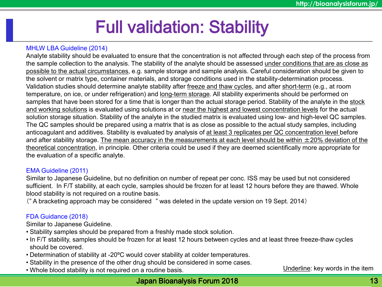# Full validation: Stability

# MHLW LBA Guideline (2014)

Analyte stability should be evaluated to ensure that the concentration is not affected through each step of the process from the sample collection to the analysis. The stability of the analyte should be assessed under conditions that are as close as possible to the actual circumstances, e.g. sample storage and sample analysis. Careful consideration should be given to the solvent or matrix type, container materials, and storage conditions used in the stability-determination process. Validation studies should determine analyte stability after freeze and thaw cycles, and after short-term (e.g., at room temperature, on ice, or under refrigeration) and long-term storage. All stability experiments should be performed on samples that have been stored for a time that is longer than the actual storage period. Stability of the analyte in the stock and working solutions is evaluated using solutions at or near the highest and lowest concentration levels for the actual solution storage situation. Stability of the analyte in the studied matrix is evaluated using low- and high-level QC samples. The QC samples should be prepared using a matrix that is as close as possible to the actual study samples, including anticoagulant and additives. Stability is evaluated by analysis of at least 3 replicates per QC concentration level before and after stability storage. The mean accuracy in the measurements at each level should be within  $\pm 20\%$  deviation of the theoretical concentration, in principle. Other criteria could be used if they are deemed scientifically more appropriate for the evaluation of a specific analyte.

#### EMA Guideline (2011)

Similar to Japanese Guideline, but no definition on number of repeat per conc. ISS may be used but not considered sufficient. In F/T stability, at each cycle, samples should be frozen for at least 12 hours before they are thawed. Whole blood stability is not required on a routine basis.

(" A bracketing approach may be considered " was deleted in the update version on 19 Sept. 2014)

# FDA Guidance (2018)

Similar to Japanese Guideline.

- Stability samples should be prepared from a freshly made stock solution.
- In F/T stability, samples should be frozen for at least 12 hours between cycles and at least three freeze-thaw cycles should be covered.
- Determination of stability at -20ºC would cover stability at colder temperatures.
- Stability in the presence of the other drug should be considered in some cases.
- Whole blood stability is not required on a routine basis.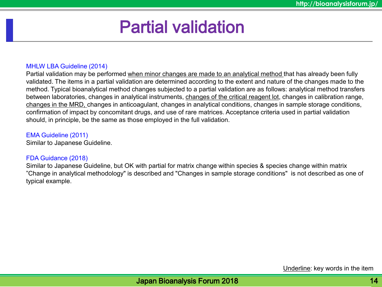# Partial validation

### MHLW LBA Guideline (2014)

Partial validation may be performed when minor changes are made to an analytical method that has already been fully validated. The items in a partial validation are determined according to the extent and nature of the changes made to the method. Typical bioanalytical method changes subjected to a partial validation are as follows: analytical method transfers between laboratories, changes in analytical instruments, changes of the critical reagent lot, changes in calibration range, changes in the MRD, changes in anticoagulant, changes in analytical conditions, changes in sample storage conditions, confirmation of impact by concomitant drugs, and use of rare matrices. Acceptance criteria used in partial validation should, in principle, be the same as those employed in the full validation.

### EMA Guideline (2011)

Similar to Japanese Guideline.

#### FDA Guidance (2018)

Similar to Japanese Guideline, but OK with partial for matrix change within species & species change within matrix "Change in analytical methodology" is described and "Changes in sample storage conditions" is not described as one of typical example.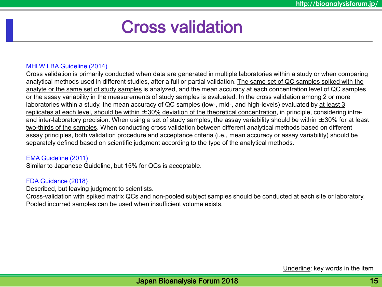# Cross validation

### MHLW LBA Guideline (2014)

Cross validation is primarily conducted when data are generated in multiple laboratories within a study or when comparing analytical methods used in different studies, after a full or partial validation. The same set of QC samples spiked with the analyte or the same set of study samples is analyzed, and the mean accuracy at each concentration level of QC samples or the assay variability in the measurements of study samples is evaluated. In the cross validation among 2 or more laboratories within a study, the mean accuracy of QC samples (low-, mid-, and high-levels) evaluated by at least 3 replicates at each level, should be within  $\pm 30\%$  deviation of the theoretical concentration, in principle, considering intraand inter-laboratory precision. When using a set of study samples, the assay variability should be within  $\pm 30\%$  for at least two-thirds of the samples. When conducting cross validation between different analytical methods based on different assay principles, both validation procedure and acceptance criteria (i.e., mean accuracy or assay variability) should be separately defined based on scientific judgment according to the type of the analytical methods.

#### EMA Guideline (2011)

Similar to Japanese Guideline, but 15% for QCs is acceptable.

### FDA Guidance (2018)

Described, but leaving judgment to scientists.

Cross-validation with spiked matrix QCs and non-pooled subject samples should be conducted at each site or laboratory. Pooled incurred samples can be used when insufficient volume exists.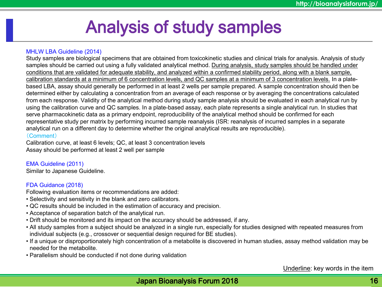# Analysis of study samples

#### MHLW LBA Guideline (2014)

Study samples are biological specimens that are obtained from toxicokinetic studies and clinical trials for analysis. Analysis of study samples should be carried out using a fully validated analytical method. During analysis, study samples should be handled under conditions that are validated for adequate stability, and analyzed within a confirmed stability period, along with a blank sample, calibration standards at a minimum of 6 concentration levels, and QC samples at a minimum of 3 concentration levels. In a platebased LBA, assay should generally be performed in at least 2 wells per sample prepared. A sample concentration should then be determined either by calculating a concentration from an average of each response or by averaging the concentrations calculated from each response. Validity of the analytical method during study sample analysis should be evaluated in each analytical run by using the calibration curve and QC samples. In a plate-based assay, each plate represents a single analytical run. In studies that serve pharmacokinetic data as a primary endpoint, reproducibility of the analytical method should be confirmed for each representative study per matrix by performing incurred sample reanalysis (ISR: reanalysis of incurred samples in a separate analytical run on a different day to determine whether the original analytical results are reproducible).

#### (Comment)

Calibration curve, at least 6 levels; QC, at least 3 concentration levels Assay should be performed at least 2 well per sample

#### EMA Guideline (2011)

Similar to Japanese Guideline.

#### FDA Guidance (2018)

Following evaluation items or recommendations are added:

- Selectivity and sensitivity in the blank and zero calibrators.
- QC results should be included in the estimation of accuracy and precision.
- Acceptance of separation batch of the analytical run.
- Drift should be monitored and its impact on the accuracy should be addressed, if any.
- All study samples from a subject should be analyzed in a single run, especially for studies designed with repeated measures from individual subjects (e.g., crossover or sequential design required for BE studies).
- If a unique or disproportionately high concentration of a metabolite is discovered in human studies, assay method validation may be<br>needed for the metabolite needed for the metabolite.
- Parallelism should be conducted if not done during validation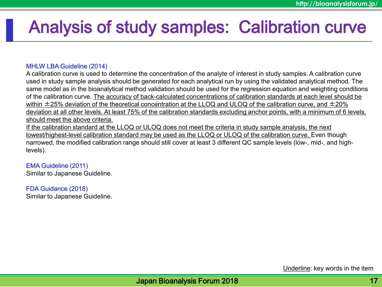# Analysis of study samples: Calibration curve

### MHLW LBA Guideline (2014)

A calibration curve is used to determine the concentration of the analyte of interest in study samples. A calibration curve used in study sample analysis should be generated for each analytical run by using the validated analytical method. The same model as in the bioanalytical method validation should be used for the regression equation and weighting conditions of the calibration curve. The accuracy of back-calculated concentrations of calibration standards at each level should be within  $\pm$ 25% deviation of the theoretical concentration at the LLOQ and ULOQ of the calibration curve, and  $\pm$ 20% deviation at all other levels. At least 75% of the calibration standards excluding anchor points, with a minimum of 6 levels, should meet the above criteria.

If the calibration standard at the LLOQ or ULOQ does not meet the criteria in study sample analysis, the next lowest/highest-level calibration standard may be used as the LLOQ or ULOQ of the calibration curve. Even though narrowed, the modified calibration range should still cover at least 3 different QC sample levels (low-, mid-, and highlevels).

EMA Guideline (2011) Similar to Japanese Guideline.

FDA Guidance (2018) Similar to Japanese Guideline.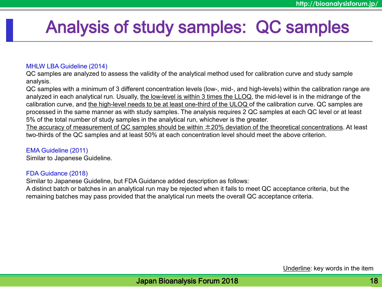# Analysis of study samples: QC samples

### MHLW LBA Guideline (2014)

QC samples are analyzed to assess the validity of the analytical method used for calibration curve and study sample analysis.

QC samples with a minimum of 3 different concentration levels (low-, mid-, and high-levels) within the calibration range are analyzed in each analytical run. Usually, the low-level is within 3 times the LLOQ, the mid-level is in the midrange of the calibration curve, and the high-level needs to be at least one-third of the ULOQ of the calibration curve. QC samples are processed in the same manner as with study samples. The analysis requires 2 QC samples at each QC level or at least 5% of the total number of study samples in the analytical run, whichever is the greater.

The accuracy of measurement of QC samples should be within  $\pm 20\%$  deviation of the theoretical concentrations. At least two-thirds of the QC samples and at least 50% at each concentration level should meet the above criterion.

### EMA Guideline (2011)

Similar to Japanese Guideline.

### FDA Guidance (2018)

Similar to Japanese Guideline, but FDA Guidance added description as follows:

A distinct batch or batches in an analytical run may be rejected when it fails to meet QC acceptance criteria, but the remaining batches may pass provided that the analytical run meets the overall QC acceptance criteria.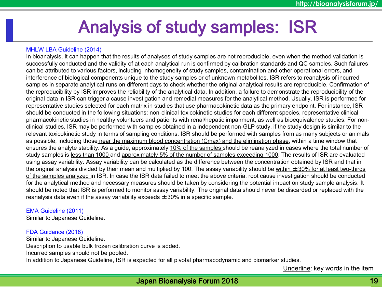# Analysis of study samples: ISR

#### MHLW LBA Guideline (2014)

In bioanalysis, it can happen that the results of analyses of study samples are not reproducible, even when the method validation is successfully conducted and the validity of at each analytical run is confirmed by calibration standards and QC samples. Such failures can be attributed to various factors, including inhomogeneity of study samples, contamination and other operational errors, and interference of biological components unique to the study samples or of unknown metabolites. ISR refers to reanalysis of incurred samples in separate analytical runs on different days to check whether the original analytical results are reproducible. Confirmation of the reproducibility by ISR improves the reliability of the analytical data. In addition, a failure to demonstrate the reproducibility of the original data in ISR can trigger a cause investigation and remedial measures for the analytical method. Usually, ISR is performed for representative studies selected for each matrix in studies that use pharmacokinetic data as the primary endpoint. For instance, ISR should be conducted in the following situations: non-clinical toxicokinetic studies for each different species, representative clinical pharmacokinetic studies in healthy volunteers and patients with renal/hepatic impairment, as well as bioequivalence studies. For nonclinical studies, ISR may be performed with samples obtained in a independent non-GLP study, if the study design is similar to the relevant toxicokinetic study in terms of sampling conditions. ISR should be performed with samples from as many subjects or animals as possible, including those near the maximum blood concentration (Cmax) and the elimination phase, within a time window that ensures the analyte stability. As a guide, approximately 10% of the samples should be reanalyzed in cases where the total number of study samples is less than 1000 and approximately 5% of the number of samples exceeding 1000. The results of ISR are evaluated using assay variability. Assay variability can be calculated as the difference between the concentration obtained by ISR and that in the original analysis divided by their mean and multiplied by 100. The assay variability should be within  $\pm 30\%$  for at least two-thirds of the samples analyzed in ISR. In case the ISR data failed to meet the above criteria, root cause investigation should be conducted for the analytical method and necessary measures should be taken by considering the potential impact on study sample analysis. It should be noted that ISR is performed to monitor assay variability. The original data should never be discarded or replaced with the reanalysis data even if the assay variability exceeds  $\pm 30\%$  in a specific sample.

#### EMA Guideline (2011)

Similar to Japanese Guideline.

#### FDA Guidance (2018)

Similar to Japanese Guideline. Description to usable bulk frozen calibration curve is added. Incurred samples should not be pooled. In addition to Japanese Guideline, ISR is expected for all pivotal pharmacodynamic and biomarker studies.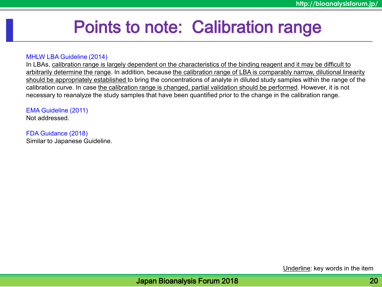# Points to note: Calibration range

#### MHLW LBA Guideline (2014)

In LBAs, calibration range is largely dependent on the characteristics of the binding reagent and it may be difficult to arbitrarily determine the range. In addition, because the calibration range of LBA is comparably narrow, dilutional linearity should be appropriately established to bring the concentrations of analyte in diluted study samples within the range of the calibration curve. In case the calibration range is changed, partial validation should be performed. However, it is not necessary to reanalyze the study samples that have been quantified prior to the change in the calibration range.

### EMA Guideline (2011)

Not addressed.

#### FDA Guidance (2018)

Similar to Japanese Guideline.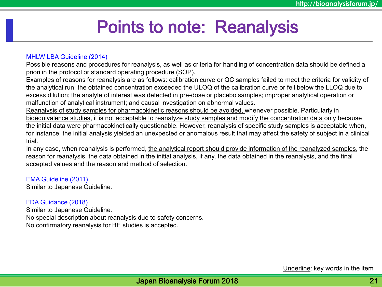# Points to note: Reanalysis

### MHLW LBA Guideline (2014)

Possible reasons and procedures for reanalysis, as well as criteria for handling of concentration data should be defined a priori in the protocol or standard operating procedure (SOP).

Examples of reasons for reanalysis are as follows: calibration curve or QC samples failed to meet the criteria for validity of the analytical run; the obtained concentration exceeded the ULOQ of the calibration curve or fell below the LLOQ due to excess dilution; the analyte of interest was detected in pre-dose or placebo samples; improper analytical operation or malfunction of analytical instrument; and causal investigation on abnormal values.

Reanalysis of study samples for pharmacokinetic reasons should be avoided, whenever possible. Particularly in bioequivalence studies, it is not acceptable to reanalyze study samples and modify the concentration data only because the initial data were pharmacokinetically questionable. However, reanalysis of specific study samples is acceptable when, for instance, the initial analysis yielded an unexpected or anomalous result that may affect the safety of subject in a clinical trial.

In any case, when reanalysis is performed, the analytical report should provide information of the reanalyzed samples, the reason for reanalysis, the data obtained in the initial analysis, if any, the data obtained in the reanalysis, and the final accepted values and the reason and method of selection.

#### EMA Guideline (2011)

Similar to Japanese Guideline.

### FDA Guidance (2018)

Similar to Japanese Guideline. No special description about reanalysis due to safety concerns. No confirmatory reanalysis for BE studies is accepted.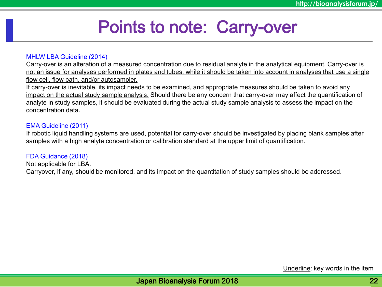# Points to note: Carry-over

#### MHLW LBA Guideline (2014)

Carry-over is an alteration of a measured concentration due to residual analyte in the analytical equipment. Carry-over is not an issue for analyses performed in plates and tubes, while it should be taken into account in analyses that use a single flow cell, flow path, and/or autosampler.

If carry-over is inevitable, its impact needs to be examined, and appropriate measures should be taken to avoid any impact on the actual study sample analysis. Should there be any concern that carry-over may affect the quantification of analyte in study samples, it should be evaluated during the actual study sample analysis to assess the impact on the concentration data.

#### EMA Guideline (2011)

If robotic liquid handling systems are used, potential for carry-over should be investigated by placing blank samples after samples with a high analyte concentration or calibration standard at the upper limit of quantification.

FDA Guidance (2018) Not applicable for LBA. Carryover, if any, should be monitored, and its impact on the quantitation of study samples should be addressed.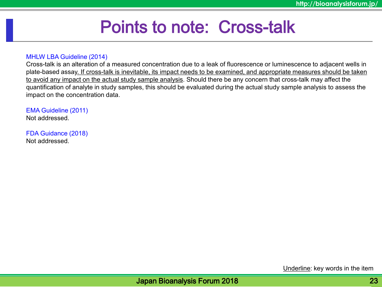# Points to note: Cross-talk

#### MHLW LBA Guideline (2014)

Cross-talk is an alteration of a measured concentration due to a leak of fluorescence or luminescence to adjacent wells in plate-based assay. If cross-talk is inevitable, its impact needs to be examined, and appropriate measures should be taken to avoid any impact on the actual study sample analysis. Should there be any concern that cross-talk may affect the quantification of analyte in study samples, this should be evaluated during the actual study sample analysis to assess the impact on the concentration data.

EMA Guideline (2011) Not addressed.

FDA Guidance (2018) Not addressed.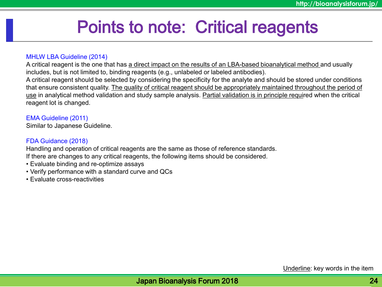# Points to note: Critical reagents

#### MHLW LBA Guideline (2014)

A critical reagent is the one that has a direct impact on the results of an LBA-based bioanalytical method and usually includes, but is not limited to, binding reagents (e.g., unlabeled or labeled antibodies). A critical reagent should be selected by considering the specificity for the analyte and should be stored under conditions that ensure consistent quality. The quality of critical reagent should be appropriately maintained throughout the period of use in analytical method validation and study sample analysis. Partial validation is in principle required when the critical reagent lot is changed.

#### EMA Guideline (2011)

Similar to Japanese Guideline.

#### FDA Guidance (2018)

Handling and operation of critical reagents are the same as those of reference standards. If there are changes to any critical reagents, the following items should be considered.

- Evaluate binding and re-optimize assays
- Verify performance with a standard curve and QCs
- Evaluate cross-reactivities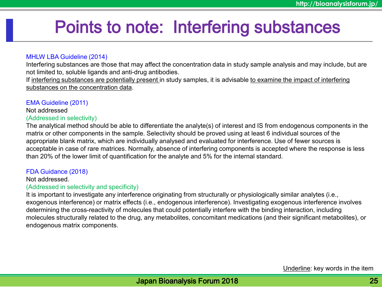# Points to note: Interfering substances

#### MHLW LBA Guideline (2014)

Interfering substances are those that may affect the concentration data in study sample analysis and may include, but are not limited to, soluble ligands and anti-drug antibodies.

If interfering substances are potentially present in study samples, it is advisable to examine the impact of interfering substances on the concentration data.

#### EMA Guideline (2011)

#### Not addressed (Addressed in selectivity)

The analytical method should be able to differentiate the analyte(s) of interest and IS from endogenous components in the matrix or other components in the sample. Selectivity should be proved using at least 6 individual sources of the appropriate blank matrix, which are individually analysed and evaluated for interference. Use of fewer sources is acceptable in case of rare matrices. Normally, absence of interfering components is accepted where the response is less than 20% of the lower limit of quantification for the analyte and 5% for the internal standard.

#### FDA Guidance (2018)

### Not addressed.

#### (Addressed in selectivity and specificity)

It is important to investigate any interference originating from structurally or physiologically similar analytes (i.e., exogenous interference) or matrix effects (i.e., endogenous interference). Investigating exogenous interference involves determining the cross-reactivity of molecules that could potentially interfere with the binding interaction, including molecules structurally related to the drug, any metabolites, concomitant medications (and their significant metabolites), or endogenous matrix components.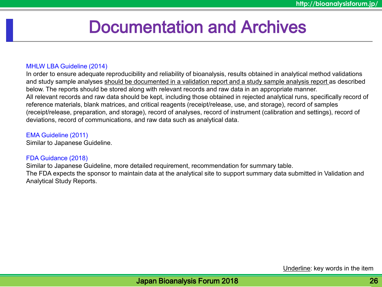# Documentation and Archives

### MHLW LBA Guideline (2014)

In order to ensure adequate reproducibility and reliability of bioanalysis, results obtained in analytical method validations and study sample analyses should be documented in a validation report and a study sample analysis report as described below. The reports should be stored along with relevant records and raw data in an appropriate manner. All relevant records and raw data should be kept, including those obtained in rejected analytical runs, specifically record of reference materials, blank matrices, and critical reagents (receipt/release, use, and storage), record of samples (receipt/release, preparation, and storage), record of analyses, record of instrument (calibration and settings), record of deviations, record of communications, and raw data such as analytical data.

### EMA Guideline (2011)

Similar to Japanese Guideline.

### FDA Guidance (2018)

Similar to Japanese Guideline, more detailed requirement, recommendation for summary table. The FDA expects the sponsor to maintain data at the analytical site to support summary data submitted in Validation and Analytical Study Reports.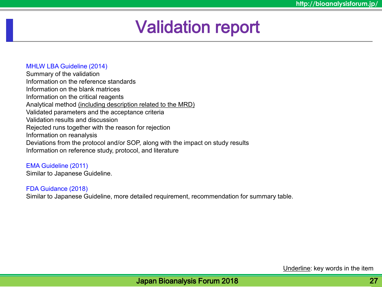# Validation report

### MHLW LBA Guideline (2014)

Summary of the validation Information on the reference standards Information on the blank matrices Information on the critical reagents Analytical method (including description related to the MRD) Validated parameters and the acceptance criteria Validation results and discussion Rejected runs together with the reason for rejection Information on reanalysis Deviations from the protocol and/or SOP, along with the impact on study results Information on reference study, protocol, and literature

EMA Guideline (2011) Similar to Japanese Guideline.

FDA Guidance (2018) Similar to Japanese Guideline, more detailed requirement, recommendation for summary table.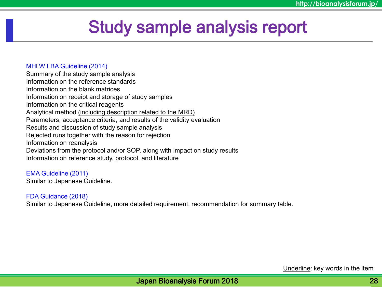# Study sample analysis report

#### MHLW LBA Guideline (2014)

Summary of the study sample analysis Information on the reference standards Information on the blank matrices Information on receipt and storage of study samples Information on the critical reagents Analytical method (including description related to the MRD) Parameters, acceptance criteria, and results of the validity evaluation Results and discussion of study sample analysis Rejected runs together with the reason for rejection Information on reanalysis Deviations from the protocol and/or SOP, along with impact on study results Information on reference study, protocol, and literature

EMA Guideline (2011) Similar to Japanese Guideline.

#### FDA Guidance (2018)

Similar to Japanese Guideline, more detailed requirement, recommendation for summary table.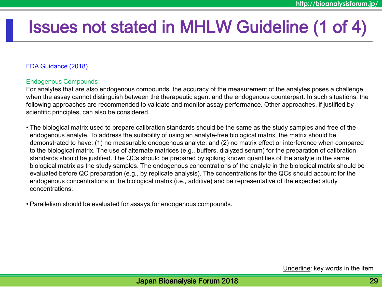# Issues not stated in MHLW Guideline (1 of 4)

# FDA Guidance (2018)

# Endogenous Compounds

For analytes that are also endogenous compounds, the accuracy of the measurement of the analytes poses a challenge when the assay cannot distinguish between the therapeutic agent and the endogenous counterpart. In such situations, the following approaches are recommended to validate and monitor assay performance. Other approaches, if justified by scientific principles, can also be considered.

• The biological matrix used to prepare calibration standards should be the same as the study samples and free of the endogenous analyte. To address the suitability of using an analyte-free biological matrix, the matrix should be demonstrated to have: (1) no measurable endogenous analyte; and (2) no matrix effect or interference when compared to the biological matrix. The use of alternate matrices (e.g., buffers, dialyzed serum) for the preparation of calibration standards should be justified. The QCs should be prepared by spiking known quantities of the analyte in the same biological matrix as the study samples. The endogenous concentrations of the analyte in the biological matrix should be evaluated before QC preparation (e.g., by replicate analysis). The concentrations for the QCs should account for the endogenous concentrations in the biological matrix (i.e., additive) and be representative of the expected study concentrations.

• Parallelism should be evaluated for assays for endogenous compounds.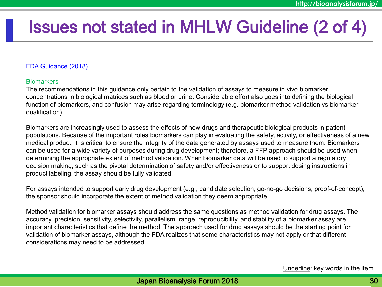# Issues not stated in MHLW Guideline (2 of 4)

### FDA Guidance (2018)

#### **Biomarkers**

The recommendations in this guidance only pertain to the validation of assays to measure in vivo biomarker concentrations in biological matrices such as blood or urine. Considerable effort also goes into defining the biological function of biomarkers, and confusion may arise regarding terminology (e.g. biomarker method validation vs biomarker qualification).

Biomarkers are increasingly used to assess the effects of new drugs and therapeutic biological products in patient populations. Because of the important roles biomarkers can play in evaluating the safety, activity, or effectiveness of a new medical product, it is critical to ensure the integrity of the data generated by assays used to measure them. Biomarkers can be used for a wide variety of purposes during drug development; therefore, a FFP approach should be used when determining the appropriate extent of method validation. When biomarker data will be used to support a regulatory decision making, such as the pivotal determination of safety and/or effectiveness or to support dosing instructions in product labeling, the assay should be fully validated.

For assays intended to support early drug development (e.g., candidate selection, go-no-go decisions, proof-of-concept), the sponsor should incorporate the extent of method validation they deem appropriate.

Method validation for biomarker assays should address the same questions as method validation for drug assays. The accuracy, precision, sensitivity, selectivity, parallelism, range, reproducibility, and stability of a biomarker assay are important characteristics that define the method. The approach used for drug assays should be the starting point for validation of biomarker assays, although the FDA realizes that some characteristics may not apply or that different considerations may need to be addressed.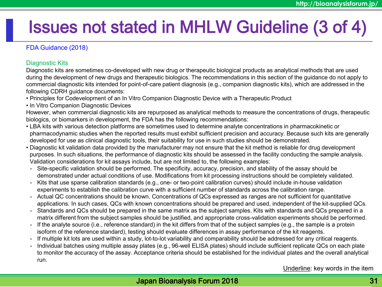# Issues not stated in MHLW Guideline (3 of 4)

# FDA Guidance (2018)

### Diagnostic Kits

Diagnostic kits are sometimes co-developed with new drug or therapeutic biological products as analytical methods that are used during the development of new drugs and therapeutic biologics. The recommendations in this section of the guidance do not apply to commercial diagnostic kits intended for point-of-care patient diagnosis (e.g., companion diagnostic kits), which are addressed in the following CDRH guidance documents:

- Principles for Codevelopment of an In Vitro Companion Diagnostic Device with a Therapeutic Product
- In Vitro Companion Diagnostic Devices

However, when commercial diagnostic kits are repurposed as analytical methods to measure the concentrations of drugs, therapeutic biologics, or biomarkers in development, the FDA has the following recommendations:

- LBA kits with various detection platforms are sometimes used to determine analyte concentrations in pharmacokinetic or pharmacodynamic studies when the reported results must exhibit sufficient precision and accuracy. Because such kits are generally developed for use as clinical diagnostic tools, their suitability for use in such studies should be demonstrated.
- Diagnostic kit validation data provided by the manufacturer may not ensure that the kit method is reliable for drug development purposes. In such situations, the performance of diagnostic kits should be assessed in the facility conducting the sample analysis. Validation considerations for kit assays include, but are not limited to, the following examples:
	- Site-specific validation should be performed. The specificity, accuracy, precision, and stability of the assay should be demonstrated under actual conditions of use. Modifications from kit processing instructions should be completely validated.
	- Kits that use sparse calibration standards (e.g., one- or two-point calibration curves) should include in-house validation experiments to establish the calibration curve with a sufficient number of standards across the calibration range.
	- Actual QC concentrations should be known. Concentrations of QCs expressed as ranges are not sufficient for quantitative applications. In such cases, QCs with known concentrations should be prepared and used, independent of the kit-supplied QCs.
	- Standards and QCs should be prepared in the same matrix as the subject samples. Kits with standards and QCs prepared in a matrix different from the subject samples should be justified, and appropriate cross-validation experiments should be performed.
	- If the analyte source (i.e., reference standard) in the kit differs from that of the subject samples (e.g., the sample is a protein isoform of the reference standard), testing should evaluate differences in assay performance of the kit reagents.
	- If multiple kit lots are used within a study, lot-to-lot variability and comparability should be addressed for any critical reagents.
	- Individual batches using multiple assay plates (e.g., 96-well ELISA plates) should include sufficient replicate QCs on each plate to monitor the accuracy of the assay. Acceptance criteria should be established for the individual plates and the overall analytical run.